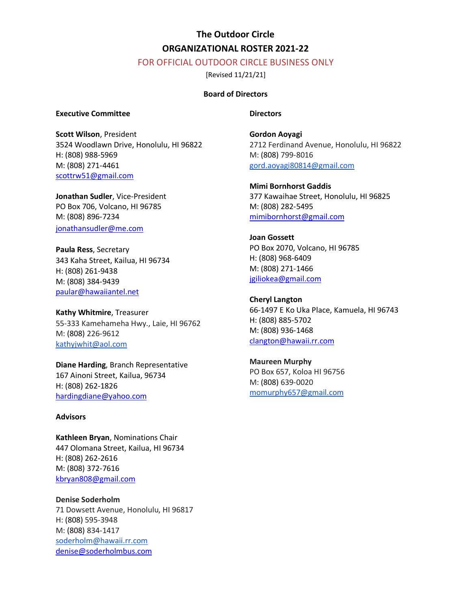# **The Outdoor Circle ORGANIZATIONAL ROSTER 2021-22**

# FOR OFFICIAL OUTDOOR CIRCLE BUSINESS ONLY

[Revised 11/21/21]

# **Board of Directors**

#### **Executive Committee**

**Scott Wilson**, President 3524 Woodlawn Drive, Honolulu, HI 96822 H: (808) 988-5969 M: (808) 271-4461 scottrw51@gmail.com

**Jonathan Sudler**, Vice-President PO Box 706, Volcano, HI 96785 M: (808) 896-7234 jonathansudler@me.com

**Paula Ress**, Secretary 343 Kaha Street, Kailua, HI 96734 H: (808) 261-9438 M: (808) 384-9439 paular@hawaiiantel.net

**Kathy Whitmire**, Treasurer 55-333 Kamehameha Hwy., Laie, HI 96762 M: (808) 226-9612 kathyjwhit@aol.com

**Diane Harding**, Branch Representative 167 Ainoni Street, Kailua, 96734 H: (808) 262-1826 hardingdiane@yahoo.com

#### **Advisors**

**Kathleen Bryan**, Nominations Chair 447 Olomana Street, Kailua, HI 96734 H: (808) 262-2616 M: (808) 372-7616 kbryan808@gmail.com

**Denise Soderholm** 71 Dowsett Avenue, Honolulu, HI 96817 H: (808) 595-3948 M: (808) 834-1417 soderholm@hawaii.rr.com denise@soderholmbus.com

# **Directors**

**Gordon Aoyagi** 2712 Ferdinand Avenue, Honolulu, HI 96822 M: (808) 799-8016 gord.aoyagi80814@gmail.com

**Mimi Bornhorst Gaddis** 377 Kawaihae Street, Honolulu, HI 96825 M: (808) 282-5495 mimibornhorst@gmail.com

**Joan Gossett** PO Box 2070, Volcano, HI 96785 H: (808) 968-6409 M: (808) 271-1466 jgiliokea@gmail.com

**Cheryl Langton** 66-1497 E Ko Uka Place, Kamuela, HI 96743 H: (808) 885-5702 M: (808) 936-1468 clangton@hawaii.rr.com

**Maureen Murphy** PO Box 657, Koloa HI 96756 M: (808) 639-0020 momurphy657@gmail.com